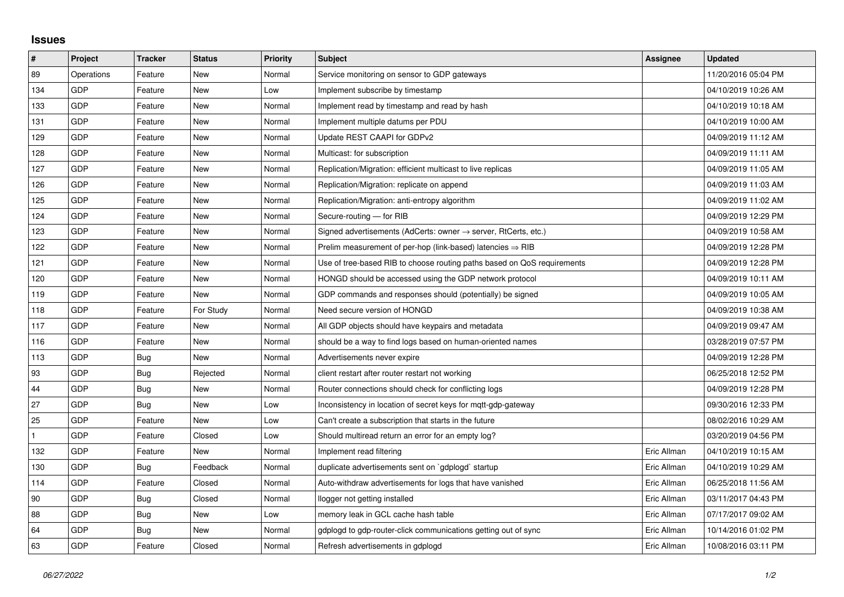## **Issues**

| #   | Project    | <b>Tracker</b> | <b>Status</b> | <b>Priority</b> | <b>Subject</b>                                                             | Assignee    | <b>Updated</b>      |
|-----|------------|----------------|---------------|-----------------|----------------------------------------------------------------------------|-------------|---------------------|
| 89  | Operations | Feature        | <b>New</b>    | Normal          | Service monitoring on sensor to GDP gateways                               |             | 11/20/2016 05:04 PM |
| 134 | GDP        | Feature        | New           | Low             | Implement subscribe by timestamp                                           |             | 04/10/2019 10:26 AM |
| 133 | GDP        | Feature        | New           | Normal          | Implement read by timestamp and read by hash                               |             | 04/10/2019 10:18 AM |
| 131 | GDP        | Feature        | <b>New</b>    | Normal          | Implement multiple datums per PDU                                          |             | 04/10/2019 10:00 AM |
| 129 | GDP        | Feature        | New           | Normal          | Update REST CAAPI for GDPv2                                                |             | 04/09/2019 11:12 AM |
| 128 | GDP        | Feature        | New           | Normal          | Multicast: for subscription                                                |             | 04/09/2019 11:11 AM |
| 127 | GDP        | Feature        | <b>New</b>    | Normal          | Replication/Migration: efficient multicast to live replicas                |             | 04/09/2019 11:05 AM |
| 126 | GDP        | Feature        | New           | Normal          | Replication/Migration: replicate on append                                 |             | 04/09/2019 11:03 AM |
| 125 | GDP        | Feature        | <b>New</b>    | Normal          | Replication/Migration: anti-entropy algorithm                              |             | 04/09/2019 11:02 AM |
| 124 | GDP        | Feature        | New           | Normal          | Secure-routing - for RIB                                                   |             | 04/09/2019 12:29 PM |
| 123 | GDP        | Feature        | New           | Normal          | Signed advertisements (AdCerts: owner $\rightarrow$ server, RtCerts, etc.) |             | 04/09/2019 10:58 AM |
| 122 | GDP        | Feature        | New           | Normal          | Prelim measurement of per-hop (link-based) latencies $\Rightarrow$ RIB     |             | 04/09/2019 12:28 PM |
| 121 | GDP        | Feature        | New           | Normal          | Use of tree-based RIB to choose routing paths based on QoS requirements    |             | 04/09/2019 12:28 PM |
| 120 | GDP        | Feature        | New           | Normal          | HONGD should be accessed using the GDP network protocol                    |             | 04/09/2019 10:11 AM |
| 119 | GDP        | Feature        | <b>New</b>    | Normal          | GDP commands and responses should (potentially) be signed                  |             | 04/09/2019 10:05 AM |
| 118 | GDP        | Feature        | For Study     | Normal          | Need secure version of HONGD                                               |             | 04/09/2019 10:38 AM |
| 117 | GDP        | Feature        | New           | Normal          | All GDP objects should have keypairs and metadata                          |             | 04/09/2019 09:47 AM |
| 116 | GDP        | Feature        | New           | Normal          | should be a way to find logs based on human-oriented names                 |             | 03/28/2019 07:57 PM |
| 113 | GDP        | <b>Bug</b>     | <b>New</b>    | Normal          | Advertisements never expire                                                |             | 04/09/2019 12:28 PM |
| 93  | GDP        | Bug            | Rejected      | Normal          | client restart after router restart not working                            |             | 06/25/2018 12:52 PM |
| 44  | GDP        | <b>Bug</b>     | New           | Normal          | Router connections should check for conflicting logs                       |             | 04/09/2019 12:28 PM |
| 27  | GDP        | <b>Bug</b>     | New           | Low             | Inconsistency in location of secret keys for mgtt-gdp-gateway              |             | 09/30/2016 12:33 PM |
| 25  | <b>GDP</b> | Feature        | <b>New</b>    | Low             | Can't create a subscription that starts in the future                      |             | 08/02/2016 10:29 AM |
|     | GDP        | Feature        | Closed        | Low             | Should multiread return an error for an empty log?                         |             | 03/20/2019 04:56 PM |
| 132 | GDP        | Feature        | New           | Normal          | Implement read filtering                                                   | Eric Allman | 04/10/2019 10:15 AM |
| 130 | GDP        | Bug            | Feedback      | Normal          | duplicate advertisements sent on `gdplogd` startup                         | Eric Allman | 04/10/2019 10:29 AM |
| 114 | GDP        | Feature        | Closed        | Normal          | Auto-withdraw advertisements for logs that have vanished                   | Eric Allman | 06/25/2018 11:56 AM |
| 90  | GDP        | Bug            | Closed        | Normal          | llogger not getting installed                                              | Eric Allman | 03/11/2017 04:43 PM |
| 88  | GDP        | Bug            | New           | Low             | memory leak in GCL cache hash table                                        | Eric Allman | 07/17/2017 09:02 AM |
| 64  | GDP        | Bug            | New           | Normal          | gdplogd to gdp-router-click communications getting out of sync             | Eric Allman | 10/14/2016 01:02 PM |
| 63  | GDP        | Feature        | Closed        | Normal          | Refresh advertisements in gdplogd                                          | Eric Allman | 10/08/2016 03:11 PM |